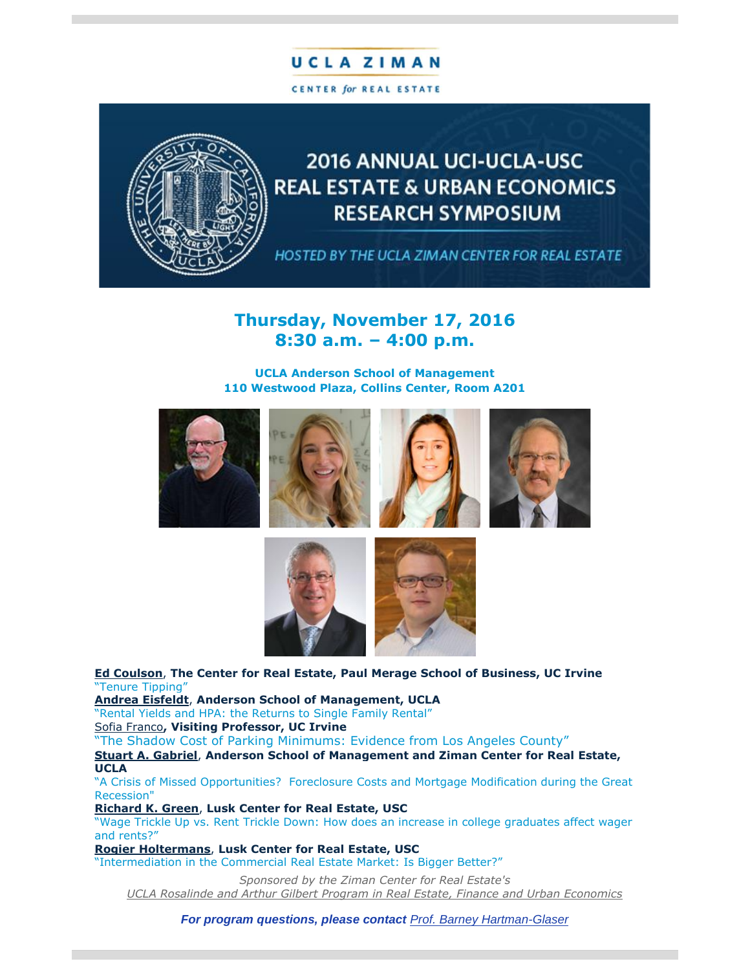# **UCLAZIMAN**

CENTER for REAL ESTATE



# 2016 ANNUAL UCI-UCLA-USC **REAL ESTATE & URBAN ECONOMICS RESEARCH SYMPOSIUM**

HOSTED BY THE UCLA ZIMAN CENTER FOR REAL ESTATE

## **Thursday, November 17, 2016 8:30 a.m. – 4:00 p.m.**

### **UCLA Anderson School of Management 110 Westwood Plaza, Collins Center, Room A201**











**[Ed Coulson](https://t.e2ma.net/click/qsczn/25ia3j/mtuy2e)**, **The Center for Real Estate, Paul Merage School of Business, UC Irvine** "Tenure Tipping"

**[Andrea Eisfeldt](https://t.e2ma.net/click/qsczn/25ia3j/2lvy2e)**, **Anderson School of Management, UCLA**

"Rental Yields and HPA: the Returns to Single Family Rental" [Sofia Franco](https://t.e2ma.net/click/qsczn/25ia3j/iewy2e)**, Visiting Professor, UC Irvine**

"The Shadow Cost of Parking Minimums: Evidence from Los Angeles County"

**[Stuart A. Gabriel](https://t.e2ma.net/click/qsczn/25ia3j/y6wy2e)**, **Anderson School of Management and Ziman Center for Real Estate, UCLA**

"A Crisis of Missed Opportunities? Foreclosure Costs and Mortgage Modification during the Great Recession"

**[Richard K. Green](https://t.e2ma.net/click/qsczn/25ia3j/ezxy2e)**, **Lusk Center for Real Estate, USC**

"Wage Trickle Up vs. Rent Trickle Down: How does an increase in college graduates affect wager and rents?"

**[Rogier Holtermans](https://t.e2ma.net/click/qsczn/25ia3j/uryy2e)**, **Lusk Center for Real Estate, USC**

"Intermediation in the Commercial Real Estate Market: Is Bigger Better?"

*Sponsored by the Ziman Center for Real Estate's UCLA Rosalinde [and Arthur Gilbert Program in Real Estate, Finance and Urban Economics](https://t.e2ma.net/click/qsczn/25ia3j/qc0y2e)*

*For program questions, please contact [Prof. Barney Hartman-Glaser](mailto:barney.hartman-glaser@anderson.ucla.edu?subject=UCI-UCLA-USC%20%2811/17/16%29%20Real%20Estate%20%26%20Urban%20Economics%20Research%20Symposium)*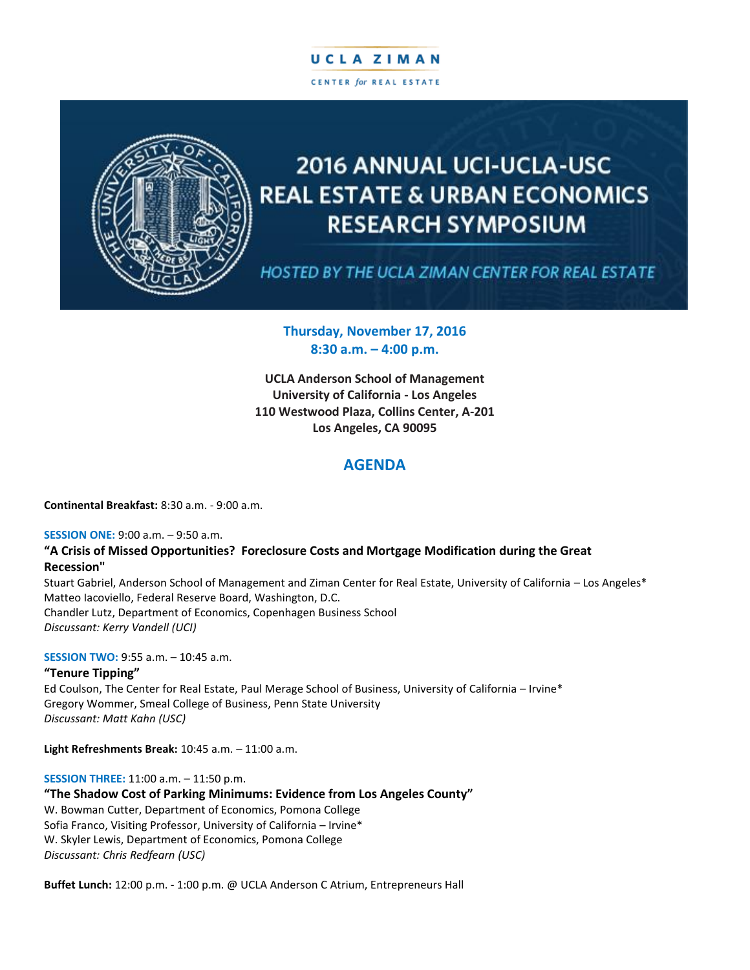## UCLA ZIMAN CENTER for REAL ESTATE



# **2016 ANNUAL UCI-UCLA-USC REAL ESTATE & URBAN ECONOMICS RESEARCH SYMPOSIUM**

HOSTED BY THE UCLA ZIMAN CENTER FOR REAL ESTATE

### **Thursday, November 17, 2016 8:30 a.m. – 4:00 p.m.**

**UCLA Anderson School of Management University of California - Los Angeles 110 Westwood Plaza, Collins Center, A-201 Los Angeles, CA 90095**

## **AGENDA**

**Continental Breakfast:** 8:30 a.m. - 9:00 a.m.

#### **SESSION ONE:** 9:00 a.m. – 9:50 a.m.

#### **"A Crisis of Missed Opportunities? Foreclosure Costs and Mortgage Modification during the Great Recession"**

Stuart Gabriel, Anderson School of Management and Ziman Center for Real Estate, University of California – Los Angeles\* Matteo Iacoviello, Federal Reserve Board, Washington, D.C. Chandler Lutz, Department of Economics, Copenhagen Business School *Discussant: Kerry Vandell (UCI)*

#### **SESSION TWO:** 9:55 a.m. – 10:45 a.m.

#### **"Tenure Tipping"**

Ed Coulson, The Center for Real Estate, Paul Merage School of Business, University of California – Irvine\* Gregory Wommer, Smeal College of Business, Penn State University *Discussant: Matt Kahn (USC)*

**Light Refreshments Break:** 10:45 a.m. – 11:00 a.m.

#### **SESSION THREE:** 11:00 a.m. – 11:50 p.m.

**"The Shadow Cost of Parking Minimums: Evidence from Los Angeles County"** W. Bowman Cutter, Department of Economics, Pomona College

Sofia Franco, Visiting Professor, University of California – Irvine\* W. Skyler Lewis, Department of Economics, Pomona College *Discussant: Chris Redfearn (USC)*

**Buffet Lunch:** 12:00 p.m. - 1:00 p.m. @ UCLA Anderson C Atrium, Entrepreneurs Hall